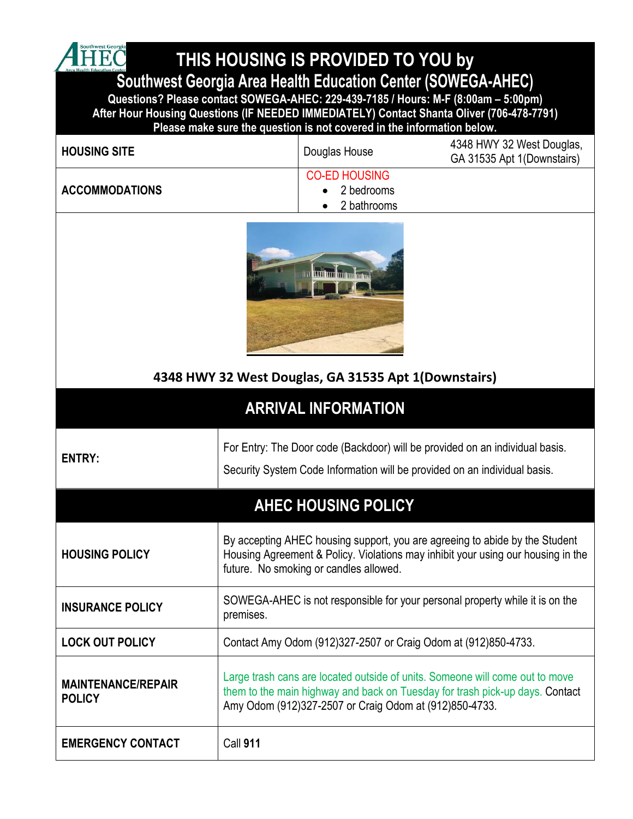**THIS HOUSING IS PROVIDED TO YOU by** 

**Southwest Georgia Area Health Education Center (SOWEGA-AHEC)**

**Questions? Please contact SOWEGA-AHEC: 229-439-7185 / Hours: M-F (8:00am – 5:00pm) After Hour Housing Questions (IF NEEDED IMMEDIATELY) Contact Shanta Oliver (706-478-7791) Please make sure the question is not covered in the information below.**

| <b>HOUSING SITE</b>   | Douglas House        | 4348 HWY 32 West Douglas,<br>GA 31535 Apt 1(Downstairs) |
|-----------------------|----------------------|---------------------------------------------------------|
|                       | <b>CO-ED HOUSING</b> |                                                         |
| <b>ACCOMMODATIONS</b> | 2 bedrooms           |                                                         |
|                       | 2 bathrooms          |                                                         |



#### **4348 HWY 32 West Douglas, GA 31535 Apt 1(Downstairs)**

## **ARRIVAL INFORMATION**

**ENTRY:**

4 HEC

For Entry: The Door code (Backdoor) will be provided on an individual basis.

Security System Code Information will be provided on an individual basis.

## **AHEC HOUSING POLICY**

| <b>HOUSING POLICY</b>                      | By accepting AHEC housing support, you are agreeing to abide by the Student<br>Housing Agreement & Policy. Violations may inhibit your using our housing in the<br>future. No smoking or candles allowed.              |
|--------------------------------------------|------------------------------------------------------------------------------------------------------------------------------------------------------------------------------------------------------------------------|
| <b>INSURANCE POLICY</b>                    | SOWEGA-AHEC is not responsible for your personal property while it is on the<br>premises.                                                                                                                              |
| <b>LOCK OUT POLICY</b>                     | Contact Amy Odom (912)327-2507 or Craig Odom at (912)850-4733.                                                                                                                                                         |
| <b>MAINTENANCE/REPAIR</b><br><b>POLICY</b> | Large trash cans are located outside of units. Someone will come out to move<br>them to the main highway and back on Tuesday for trash pick-up days. Contact<br>Amy Odom (912)327-2507 or Craig Odom at (912)850-4733. |
| <b>EMERGENCY CONTACT</b>                   | <b>Call 911</b>                                                                                                                                                                                                        |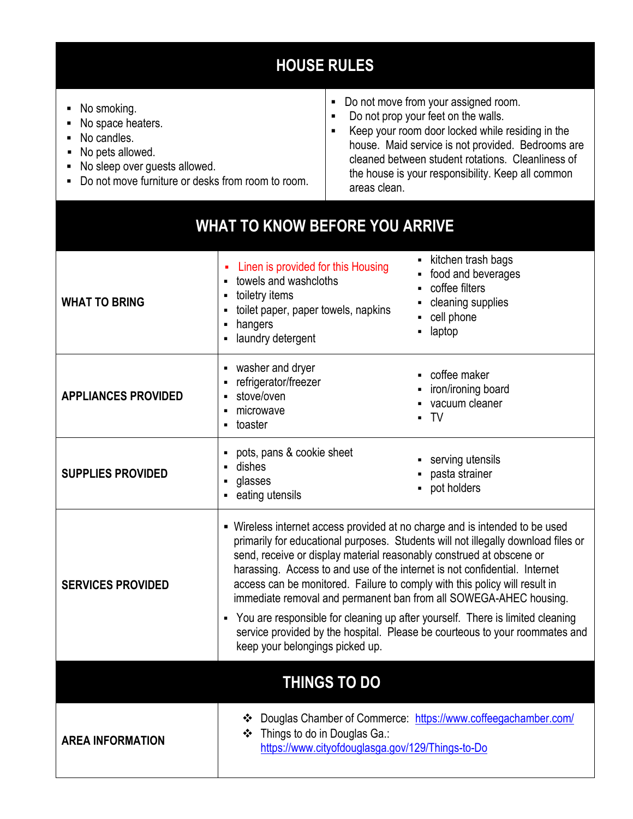# **HOUSE RULES**

■ No smoking. ■ No space heaters. ■ No candles. ▪ No pets allowed. ■ No sleep over guests allowed. ■ Do not move furniture or desks from room to room. ■ Do not move from your assigned room. ■ Do not prop your feet on the walls. ▪ Keep your room door locked while residing in the house. Maid service is not provided. Bedrooms are cleaned between student rotations. Cleanliness of the house is your responsibility. Keep all common areas clean.

### **WHAT TO KNOW BEFORE YOU ARRIVE**

| <b>WHAT TO BRING</b>       | Linen is provided for this Housing<br>towels and washcloths<br>$\blacksquare$<br>toiletry items<br>П<br>toilet paper, paper towels, napkins<br>$\blacksquare$<br>hangers<br>$\blacksquare$<br>laundry detergent<br>$\blacksquare$                                                                                                                                                                                                                                                                                                                                                                                                                                                              | kitchen trash bags<br>food and beverages<br>coffee filters<br>cleaning supplies<br>cell phone<br>laptop |
|----------------------------|------------------------------------------------------------------------------------------------------------------------------------------------------------------------------------------------------------------------------------------------------------------------------------------------------------------------------------------------------------------------------------------------------------------------------------------------------------------------------------------------------------------------------------------------------------------------------------------------------------------------------------------------------------------------------------------------|---------------------------------------------------------------------------------------------------------|
| <b>APPLIANCES PROVIDED</b> | washer and dryer<br>П<br>refrigerator/freezer<br>$\blacksquare$<br>stove/oven<br>$\blacksquare$<br>microwave<br>٠<br>toaster<br>$\blacksquare$                                                                                                                                                                                                                                                                                                                                                                                                                                                                                                                                                 | coffee maker<br>н<br>iron/ironing board<br>vacuum cleaner<br>TV                                         |
| <b>SUPPLIES PROVIDED</b>   | pots, pans & cookie sheet<br>٠<br>dishes<br>$\blacksquare$<br>glasses<br>П<br>eating utensils<br>П                                                                                                                                                                                                                                                                                                                                                                                                                                                                                                                                                                                             | serving utensils<br>pasta strainer<br>pot holders                                                       |
| <b>SERVICES PROVIDED</b>   | • Wireless internet access provided at no charge and is intended to be used<br>primarily for educational purposes. Students will not illegally download files or<br>send, receive or display material reasonably construed at obscene or<br>harassing. Access to and use of the internet is not confidential. Internet<br>access can be monitored. Failure to comply with this policy will result in<br>immediate removal and permanent ban from all SOWEGA-AHEC housing.<br>You are responsible for cleaning up after yourself. There is limited cleaning<br>$\blacksquare$<br>service provided by the hospital. Please be courteous to your roommates and<br>keep your belongings picked up. |                                                                                                         |
| <b>THINGS TO DO</b>        |                                                                                                                                                                                                                                                                                                                                                                                                                                                                                                                                                                                                                                                                                                |                                                                                                         |
| <b>AREA INFORMATION</b>    | Things to do in Douglas Ga.:<br>❖<br>https://www.cityofdouglasga.gov/129/Things-to-Do                                                                                                                                                                                                                                                                                                                                                                                                                                                                                                                                                                                                          | Douglas Chamber of Commerce: https://www.coffeegachamber.com/                                           |